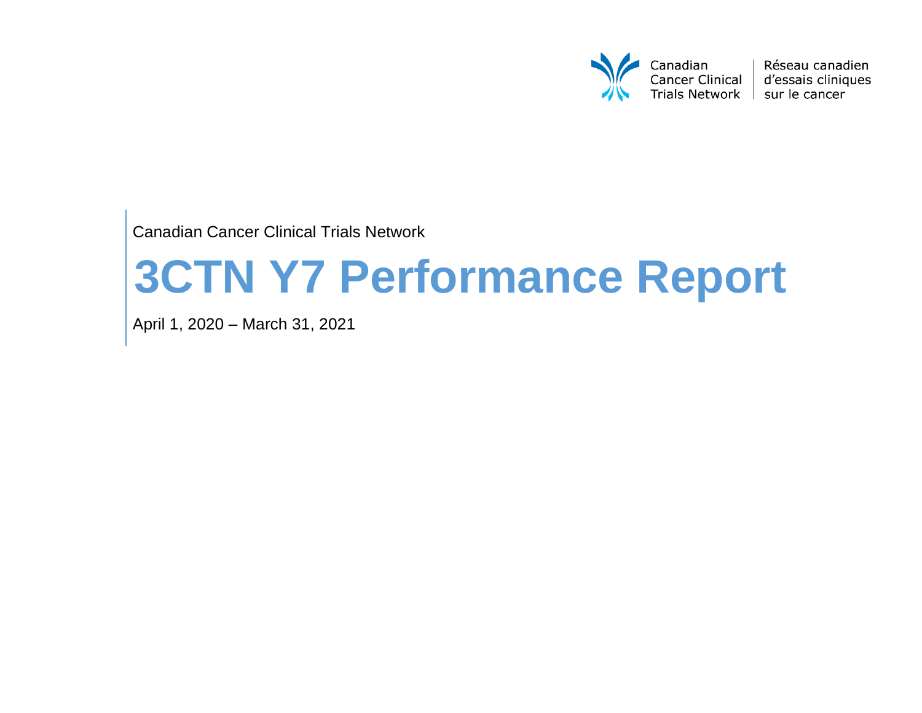

Réseau canadien d'essais cliniques sur le cancer

Canadian Cancer Clinical Trials Network

# **3CTN Y7 Performance Report**

April 1, 2020 – March 31, 2021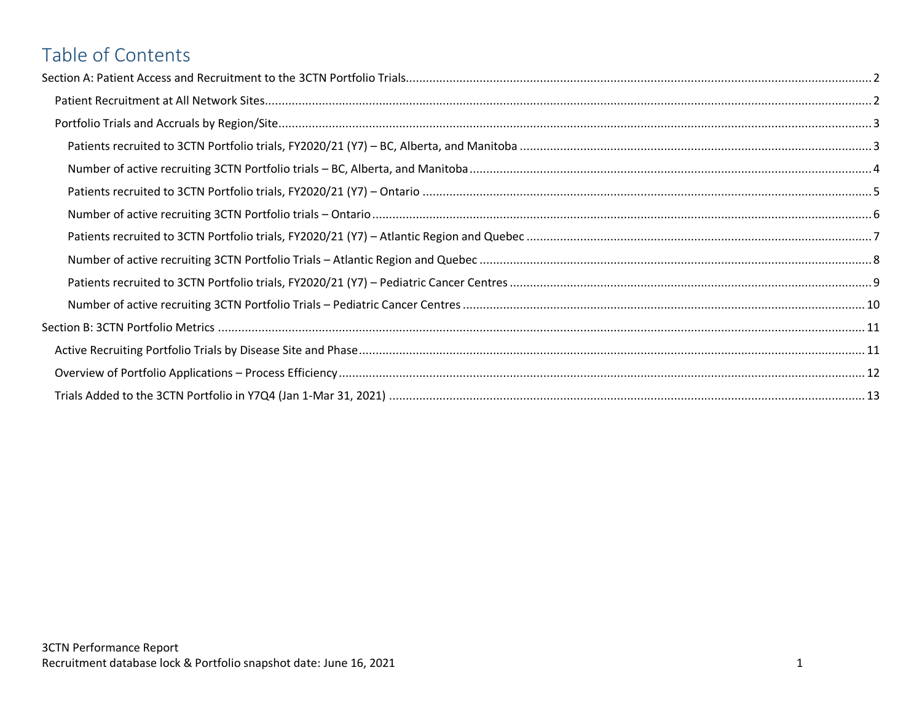# Table of Contents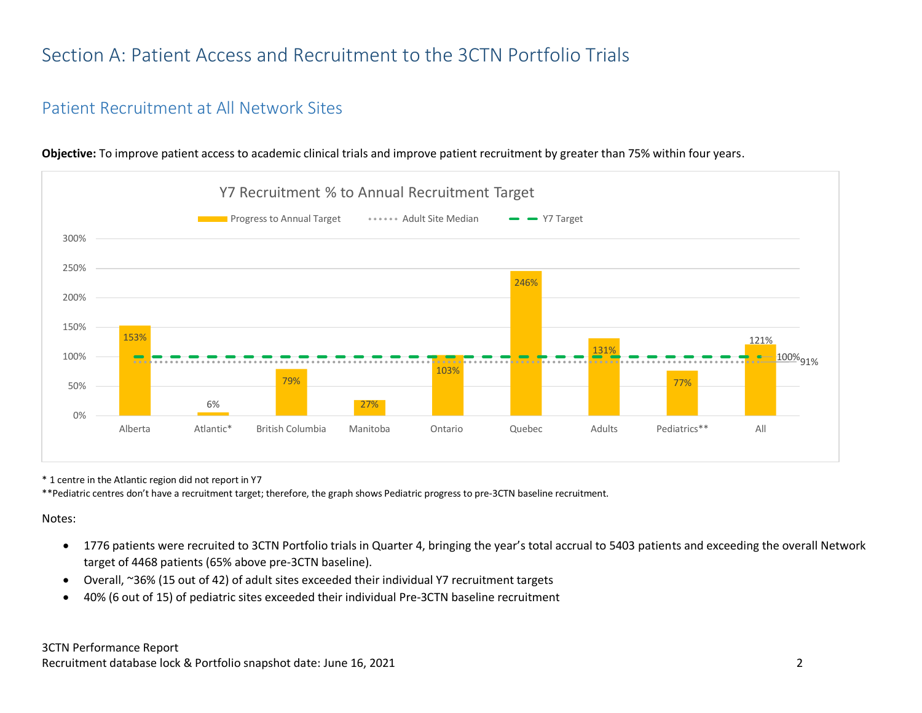# <span id="page-2-0"></span>Section A: Patient Access and Recruitment to the 3CTN Portfolio Trials

## <span id="page-2-1"></span>Patient Recruitment at All Network Sites



**Objective:** To improve patient access to academic clinical trials and improve patient recruitment by greater than 75% within four years.

\* 1 centre in the Atlantic region did not report in Y7

\*\*Pediatric centres don't have a recruitment target; therefore, the graph shows Pediatric progress to pre-3CTN baseline recruitment.

#### Notes:

- 1776 patients were recruited to 3CTN Portfolio trials in Quarter 4, bringing the year's total accrual to 5403 patients and exceeding the overall Network target of 4468 patients (65% above pre-3CTN baseline).
- Overall, ~36% (15 out of 42) of adult sites exceeded their individual Y7 recruitment targets
- 40% (6 out of 15) of pediatric sites exceeded their individual Pre-3CTN baseline recruitment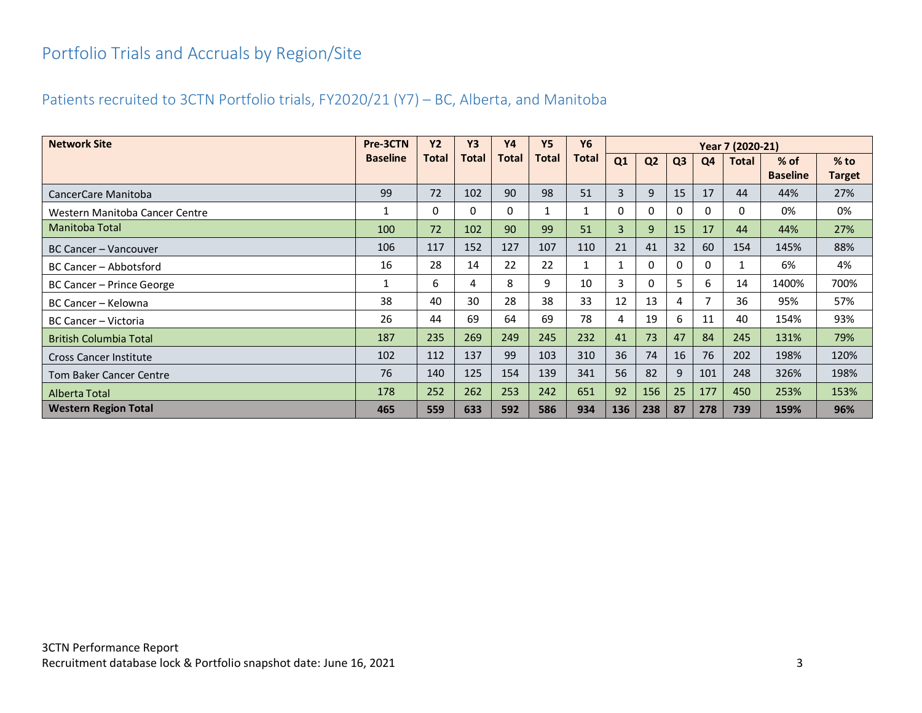# <span id="page-3-0"></span>Portfolio Trials and Accruals by Region/Site

## <span id="page-3-1"></span>Patients recruited to 3CTN Portfolio trials, FY2020/21 (Y7) – BC, Alberta, and Manitoba

| <b>Network Site</b>            | Pre-3CTN        | <b>Y2</b> | <b>Y3</b>    | <b>Y4</b> | <b>Y5</b> | Y6           | Year 7 (2020-21) |                |                |          |       |                 |               |
|--------------------------------|-----------------|-----------|--------------|-----------|-----------|--------------|------------------|----------------|----------------|----------|-------|-----------------|---------------|
|                                | <b>Baseline</b> | Total     | <b>Total</b> | Total     | Total     | <b>Total</b> | Q1               | Q <sub>2</sub> | Q <sub>3</sub> | Q4       | Total | $%$ of          | $%$ to        |
|                                |                 |           |              |           |           |              |                  |                |                |          |       | <b>Baseline</b> | <b>Target</b> |
| CancerCare Manitoba            | 99              | 72        | 102          | 90        | 98        | 51           | 3                | 9              | 15             | 17       | 44    | 44%             | 27%           |
| Western Manitoba Cancer Centre |                 | 0         | 0            | 0         |           |              | 0                | $\Omega$       | 0              | $\Omega$ | 0     | 0%              | 0%            |
| <b>Manitoba Total</b>          | 100             | 72        | 102          | 90        | 99        | 51           | $\overline{3}$   | 9              | 15             | 17       | 44    | 44%             | 27%           |
| BC Cancer – Vancouver          | 106             | 117       | 152          | 127       | 107       | 110          | 21               | 41             | 32             | 60       | 154   | 145%            | 88%           |
| BC Cancer – Abbotsford         | 16              | 28        | 14           | 22        | 22        |              |                  | 0              | 0              | 0        |       | 6%              | 4%            |
| BC Cancer – Prince George      |                 | 6         | 4            | 8         | 9         | 10           | 3                | $\Omega$       | 5.             | 6        | 14    | 1400%           | 700%          |
| BC Cancer – Kelowna            | 38              | 40        | 30           | 28        | 38        | 33           | 12               | 13             | 4              |          | 36    | 95%             | 57%           |
| BC Cancer - Victoria           | 26              | 44        | 69           | 64        | 69        | 78           | 4                | 19             | 6              | 11       | 40    | 154%            | 93%           |
| <b>British Columbia Total</b>  | 187             | 235       | 269          | 249       | 245       | 232          | 41               | 73             | 47             | 84       | 245   | 131%            | 79%           |
| <b>Cross Cancer Institute</b>  | 102             | 112       | 137          | 99        | 103       | 310          | 36               | 74             | 16             | 76       | 202   | 198%            | 120%          |
| <b>Tom Baker Cancer Centre</b> | 76              | 140       | 125          | 154       | 139       | 341          | 56               | 82             | 9              | 101      | 248   | 326%            | 198%          |
| Alberta Total                  | 178             | 252       | 262          | 253       | 242       | 651          | 92               | 156            | 25             | 177      | 450   | 253%            | 153%          |
| <b>Western Region Total</b>    | 465             | 559       | 633          | 592       | 586       | 934          | 136              | 238            | 87             | 278      | 739   | 159%            | 96%           |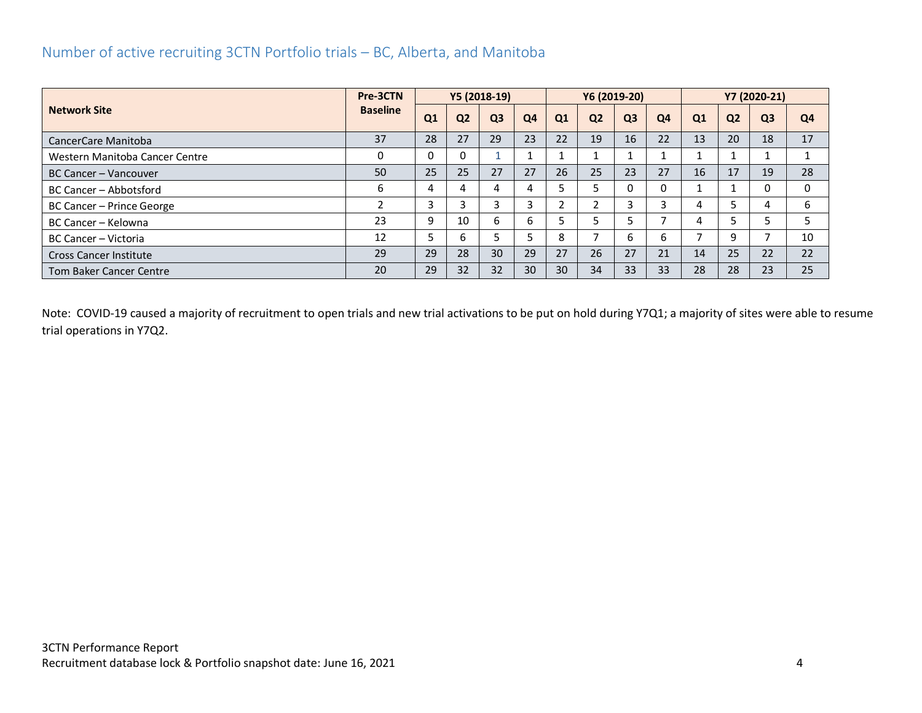## <span id="page-4-0"></span>Number of active recruiting 3CTN Portfolio trials – BC, Alberta, and Manitoba

|                                | Pre-3CTN        |                |                | Y5 (2018-19)   |                |                | Y6 (2019-20)   |                |    |    |                | Y7 (2020-21)   |    |
|--------------------------------|-----------------|----------------|----------------|----------------|----------------|----------------|----------------|----------------|----|----|----------------|----------------|----|
| <b>Network Site</b>            | <b>Baseline</b> | Q <sub>1</sub> | Q <sub>2</sub> | Q <sub>3</sub> | Q <sub>4</sub> | Q <sub>1</sub> | Q <sub>2</sub> | Q <sub>3</sub> | Q4 | Q1 | Q <sub>2</sub> | Q <sub>3</sub> | Q4 |
| CancerCare Manitoba            | 37              | 28             | 27             | 29             | 23             | 22             | 19             | 16             | 22 | 13 | 20             | 18             | 17 |
| Western Manitoba Cancer Centre | 0               |                | 0              |                |                |                |                |                |    |    |                |                |    |
| BC Cancer – Vancouver          | 50              | 25             | 25             | 27             | 27             | 26             | 25             | 23             | 27 | 16 | 17             | 19             | 28 |
| BC Cancer - Abbotsford         | 6               |                | 4              | 4              |                |                |                |                |    |    |                |                | 0  |
| BC Cancer - Prince George      |                 | 3              | 3              |                |                |                |                |                | h  | 4  |                |                | 6  |
| BC Cancer - Kelowna            | 23              | 9              | 10             | b              | 6              |                |                |                |    | 4  |                |                |    |
| BC Cancer - Victoria           | 12              |                | 6              |                |                | 8              |                | h              | h  |    | q              |                | 10 |
| <b>Cross Cancer Institute</b>  | 29              | 29             | 28             | 30             | 29             | 27             | 26             | 27             | 21 | 14 | 25             | 22             | 22 |
| <b>Tom Baker Cancer Centre</b> | 20              | 29             | 32             | 32             | 30             | 30             | 34             | 33             | 33 | 28 | 28             | 23             | 25 |

Note: COVID-19 caused a majority of recruitment to open trials and new trial activations to be put on hold during Y7Q1; a majority of sites were able to resume trial operations in Y7Q2.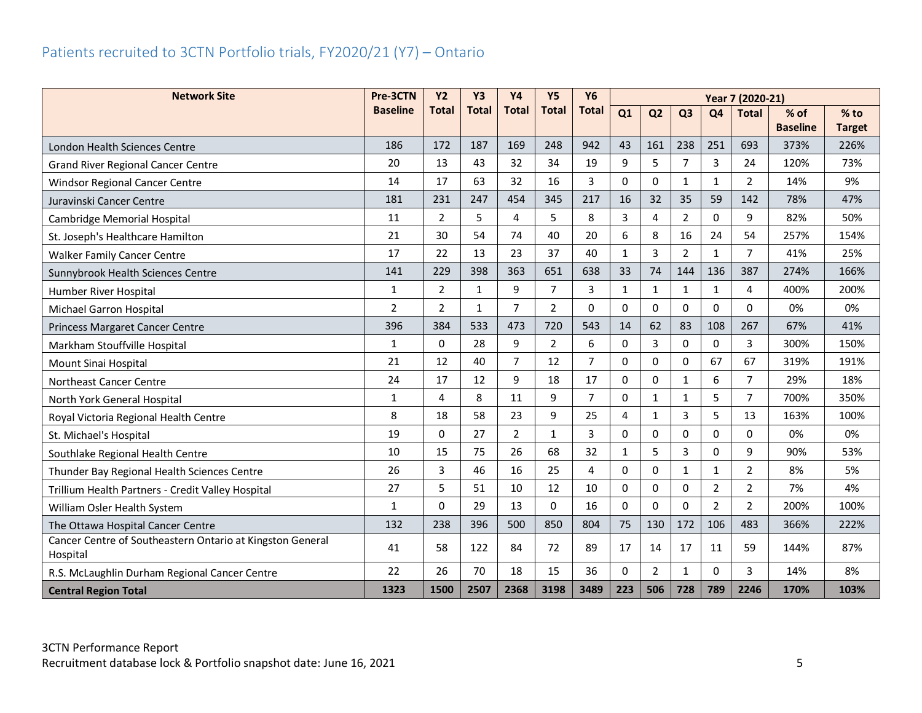## <span id="page-5-0"></span>Patients recruited to 3CTN Portfolio trials, FY2020/21 (Y7) – Ontario

| <b>Network Site</b>                                                   | Pre-3CTN        | <b>Y2</b>      | <b>Y3</b>    | <b>Y4</b>      | <b>Y5</b>      | <b>Y6</b>      | Year 7 (2020-21) |                |                |                |                |                 |               |
|-----------------------------------------------------------------------|-----------------|----------------|--------------|----------------|----------------|----------------|------------------|----------------|----------------|----------------|----------------|-----------------|---------------|
|                                                                       | <b>Baseline</b> | <b>Total</b>   | <b>Total</b> | <b>Total</b>   | <b>Total</b>   | <b>Total</b>   | Q1               | Q <sub>2</sub> | Q <sub>3</sub> | Q <sub>4</sub> | <b>Total</b>   | $%$ of          | $%$ to        |
|                                                                       |                 |                |              |                |                | 942            |                  |                |                |                |                | <b>Baseline</b> | <b>Target</b> |
| London Health Sciences Centre                                         | 186             | 172            | 187          | 169            | 248            |                | 43               | 161            | 238            | 251            | 693            | 373%            | 226%          |
| <b>Grand River Regional Cancer Centre</b>                             | 20              | 13             | 43           | 32             | 34             | 19             | 9                | 5              | $\overline{7}$ | $\overline{3}$ | 24             | 120%            | 73%           |
| Windsor Regional Cancer Centre                                        | 14              | 17             | 63           | 32             | 16             | $\overline{3}$ | $\Omega$         | $\Omega$       | $\mathbf{1}$   | $\mathbf{1}$   | $\overline{2}$ | 14%             | 9%            |
| Juravinski Cancer Centre                                              | 181             | 231            | 247          | 454            | 345            | 217            | 16               | 32             | 35             | 59             | 142            | 78%             | 47%           |
| <b>Cambridge Memorial Hospital</b>                                    | 11              | $\overline{2}$ | 5            | 4              | 5              | 8              | 3                | 4              | $\overline{2}$ | 0              | 9              | 82%             | 50%           |
| St. Joseph's Healthcare Hamilton                                      | 21              | 30             | 54           | 74             | 40             | 20             | 6                | 8              | 16             | 24             | 54             | 257%            | 154%          |
| <b>Walker Family Cancer Centre</b>                                    | 17              | 22             | 13           | 23             | 37             | 40             | $\mathbf{1}$     | 3              | $\overline{2}$ | $\mathbf{1}$   | $\overline{7}$ | 41%             | 25%           |
| Sunnybrook Health Sciences Centre                                     | 141             | 229            | 398          | 363            | 651            | 638            | 33               | 74             | 144            | 136            | 387            | 274%            | 166%          |
| Humber River Hospital                                                 | 1               | 2              | $\mathbf{1}$ | 9              | $\overline{7}$ | 3              | $\mathbf{1}$     | $\mathbf{1}$   | $\mathbf{1}$   | $\mathbf{1}$   | 4              | 400%            | 200%          |
| Michael Garron Hospital                                               | $\overline{2}$  | 2              | $\mathbf{1}$ | $\overline{7}$ | 2              | 0              | $\Omega$         | $\Omega$       | $\Omega$       | $\Omega$       | 0              | 0%              | 0%            |
| Princess Margaret Cancer Centre                                       | 396             | 384            | 533          | 473            | 720            | 543            | 14               | 62             | 83             | 108            | 267            | 67%             | 41%           |
| Markham Stouffville Hospital                                          | $\mathbf{1}$    | $\Omega$       | 28           | 9              | 2              | 6              | $\mathbf{0}$     | 3              | 0              | $\Omega$       | 3              | 300%            | 150%          |
| Mount Sinai Hospital                                                  | 21              | 12             | 40           | $\overline{7}$ | 12             | 7              | $\Omega$         | $\Omega$       | 0              | 67             | 67             | 319%            | 191%          |
| Northeast Cancer Centre                                               | 24              | 17             | 12           | 9              | 18             | 17             | 0                | $\Omega$       | $\mathbf{1}$   | 6              | $\overline{7}$ | 29%             | 18%           |
| North York General Hospital                                           | $\mathbf{1}$    | 4              | 8            | 11             | 9              | $\overline{7}$ | 0                | $\mathbf{1}$   | $\mathbf{1}$   | 5              | $\overline{7}$ | 700%            | 350%          |
| Royal Victoria Regional Health Centre                                 | 8               | 18             | 58           | 23             | 9              | 25             | 4                | $\mathbf{1}$   | 3              | 5              | 13             | 163%            | 100%          |
| St. Michael's Hospital                                                | 19              | $\Omega$       | 27           | $\overline{2}$ | $\mathbf{1}$   | $\overline{3}$ | 0                | $\Omega$       | 0              | 0              | $\Omega$       | 0%              | 0%            |
| Southlake Regional Health Centre                                      | 10              | 15             | 75           | 26             | 68             | 32             | $\mathbf{1}$     | 5              | 3              | 0              | 9              | 90%             | 53%           |
| Thunder Bay Regional Health Sciences Centre                           | 26              | 3              | 46           | 16             | 25             | 4              | 0                | $\Omega$       | $\mathbf{1}$   | $\mathbf{1}$   | $\overline{2}$ | 8%              | 5%            |
| Trillium Health Partners - Credit Valley Hospital                     | 27              | 5              | 51           | 10             | 12             | 10             | 0                | $\mathbf{0}$   | $\Omega$       | $\overline{2}$ | $\overline{2}$ | 7%              | 4%            |
| William Osler Health System                                           | $\mathbf{1}$    | $\Omega$       | 29           | 13             | 0              | 16             | 0                | $\Omega$       | 0              | $\overline{2}$ | $\overline{2}$ | 200%            | 100%          |
| The Ottawa Hospital Cancer Centre                                     | 132             | 238            | 396          | 500            | 850            | 804            | 75               | 130            | 172            | 106            | 483            | 366%            | 222%          |
| Cancer Centre of Southeastern Ontario at Kingston General<br>Hospital | 41              | 58             | 122          | 84             | 72             | 89             | 17               | 14             | 17             | 11             | 59             | 144%            | 87%           |
| R.S. McLaughlin Durham Regional Cancer Centre                         | 22              | 26             | 70           | 18             | 15             | 36             | 0                | 2              | $\mathbf{1}$   | 0              | 3              | 14%             | 8%            |
| <b>Central Region Total</b>                                           | 1323            | 1500           | 2507         | 2368           | 3198           | 3489           | 223              | 506            | 728            | 789            | 2246           | 170%            | 103%          |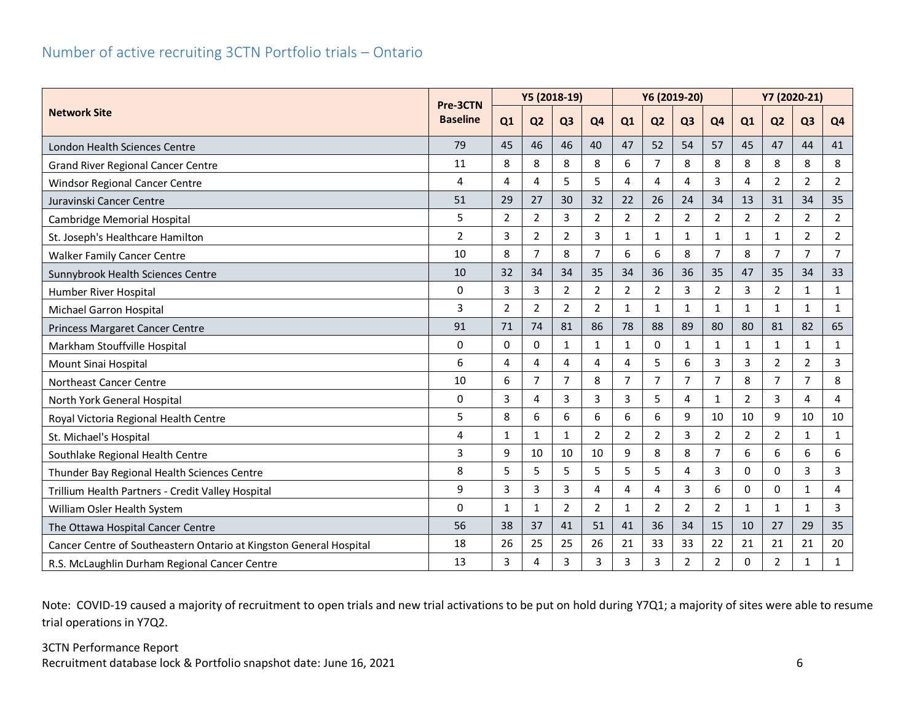## <span id="page-6-0"></span>Number of active recruiting 3CTN Portfolio trials – Ontario

|                                                                    |                             | Y5 (2018-19)   |                |                |                |                |                | Y6 (2019-20)   |                | Y7 (2020-21)   |                |                |                |
|--------------------------------------------------------------------|-----------------------------|----------------|----------------|----------------|----------------|----------------|----------------|----------------|----------------|----------------|----------------|----------------|----------------|
| <b>Network Site</b>                                                | Pre-3CTN<br><b>Baseline</b> | Q1             | Q <sub>2</sub> | Q <sub>3</sub> | Q <sub>4</sub> | Q1             | Q <sub>2</sub> | Q <sub>3</sub> | Q <sub>4</sub> | Q1             | Q <sub>2</sub> | Q <sub>3</sub> | Q <sub>4</sub> |
| London Health Sciences Centre                                      | 79                          | 45             | 46             | 46             | 40             | 47             | 52             | 54             | 57             | 45             | 47             | 44             | 41             |
| <b>Grand River Regional Cancer Centre</b>                          | 11                          | 8              | 8              | 8              | 8              | 6              | $\overline{7}$ | 8              | 8              | 8              | 8              | 8              | 8              |
| <b>Windsor Regional Cancer Centre</b>                              | 4                           | 4              | 4              | 5              | 5              | 4              | $\overline{a}$ | 4              | 3              | 4              | $\overline{2}$ | 2              | $\overline{2}$ |
| Juravinski Cancer Centre                                           | 51                          | 29             | 27             | 30             | 32             | 22             | 26             | 24             | 34             | 13             | 31             | 34             | 35             |
| Cambridge Memorial Hospital                                        | 5                           | $\overline{2}$ | $\overline{2}$ | 3              | $\overline{2}$ | $\overline{2}$ | $\overline{2}$ | $\overline{2}$ | $\overline{2}$ | $\overline{2}$ | $\overline{2}$ | 2              | $\overline{2}$ |
| St. Joseph's Healthcare Hamilton                                   | $\overline{2}$              | 3              | 2              | $\overline{2}$ | 3              | $\mathbf{1}$   | 1              | 1              | $\mathbf{1}$   | 1              | 1              | $\overline{2}$ | $\overline{2}$ |
| <b>Walker Family Cancer Centre</b>                                 | 10                          | 8              | 7              | 8              | $\overline{7}$ | 6              | 6              | 8              | $\overline{7}$ | 8              | $\overline{7}$ | $\overline{7}$ | $\overline{7}$ |
| Sunnybrook Health Sciences Centre                                  | 10                          | 32             | 34             | 34             | 35             | 34             | 36             | 36             | 35             | 47             | 35             | 34             | 33             |
| Humber River Hospital                                              | $\mathbf 0$                 | 3              | 3              | $\overline{2}$ | $\overline{2}$ | $\overline{2}$ | $\overline{2}$ | 3              | $\overline{2}$ | 3              | $\overline{2}$ | 1              | $\mathbf{1}$   |
| Michael Garron Hospital                                            | 3                           | $\overline{2}$ | $\overline{2}$ | $\overline{2}$ | 2              | $\mathbf{1}$   | $\mathbf{1}$   | 1              | $\mathbf{1}$   | 1              | 1              | 1              | $\mathbf{1}$   |
| <b>Princess Margaret Cancer Centre</b>                             | 91                          | 71             | 74             | 81             | 86             | 78             | 88             | 89             | 80             | 80             | 81             | 82             | 65             |
| Markham Stouffville Hospital                                       | $\mathbf 0$                 | $\Omega$       | 0              | $\mathbf{1}$   | $\mathbf{1}$   | $\mathbf{1}$   | $\Omega$       | 1              | $\mathbf{1}$   | $\mathbf{1}$   | 1              | $\mathbf{1}$   | $\mathbf{1}$   |
| Mount Sinai Hospital                                               | 6                           | 4              | 4              | 4              | 4              | 4              | 5              | 6              | $\overline{3}$ | $\overline{3}$ | $\overline{2}$ | $\overline{2}$ | $\mathsf{3}$   |
| Northeast Cancer Centre                                            | 10                          | 6              | 7              | $\overline{7}$ | 8              | $\overline{7}$ | $\overline{7}$ | 7              | $\overline{7}$ | 8              | 7              | $\overline{7}$ | 8              |
| North York General Hospital                                        | $\mathbf 0$                 | 3              | 4              | 3              | 3              | 3              | 5              | 4              | $\mathbf{1}$   | 2              | 3              | 4              | $\overline{4}$ |
| Royal Victoria Regional Health Centre                              | 5                           | 8              | 6              | 6              | 6              | 6              | 6              | 9              | 10             | 10             | 9              | 10             | 10             |
| St. Michael's Hospital                                             | 4                           | $\mathbf{1}$   | 1              | $\mathbf{1}$   | $\overline{2}$ | $\overline{2}$ | $\overline{2}$ | 3              | $\overline{2}$ | $\overline{2}$ | $\overline{2}$ | $\mathbf{1}$   | $\mathbf{1}$   |
| Southlake Regional Health Centre                                   | 3                           | 9              | 10             | 10             | 10             | 9              | 8              | 8              | $\overline{7}$ | 6              | 6              | 6              | 6              |
| Thunder Bay Regional Health Sciences Centre                        | 8                           | 5              | 5              | 5              | 5              | 5              | 5              | 4              | 3              | 0              | 0              | 3              | $\mathsf{3}$   |
| Trillium Health Partners - Credit Valley Hospital                  | 9                           | 3              | 3              | 3              | 4              | 4              | Δ              | 3              | 6              | 0              | $\mathbf 0$    | 1              | 4              |
| William Osler Health System                                        | $\mathbf 0$                 | $\mathbf{1}$   | 1              | $\overline{2}$ | $\overline{2}$ | 1              | $\overline{2}$ | 2              | $\overline{2}$ | 1              | 1              | 1              | $\mathsf{3}$   |
| The Ottawa Hospital Cancer Centre                                  | 56                          | 38             | 37             | 41             | 51             | 41             | 36             | 34             | 15             | 10             | 27             | 29             | 35             |
| Cancer Centre of Southeastern Ontario at Kingston General Hospital | 18                          | 26             | 25             | 25             | 26             | 21             | 33             | 33             | 22             | 21             | 21             | 21             | 20             |
| R.S. McLaughlin Durham Regional Cancer Centre                      | 13                          | 3              | 4              | 3              | 3              | 3              | 3              | $\overline{2}$ | $\overline{2}$ | 0              | $\overline{2}$ | $\mathbf{1}$   | $\mathbf{1}$   |

Note: COVID-19 caused a majority of recruitment to open trials and new trial activations to be put on hold during Y7Q1; a majority of sites were able to resume trial operations in Y7Q2.

### 3CTN Performance Report Recruitment database lock & Portfolio snapshot date: June 16, 2021 6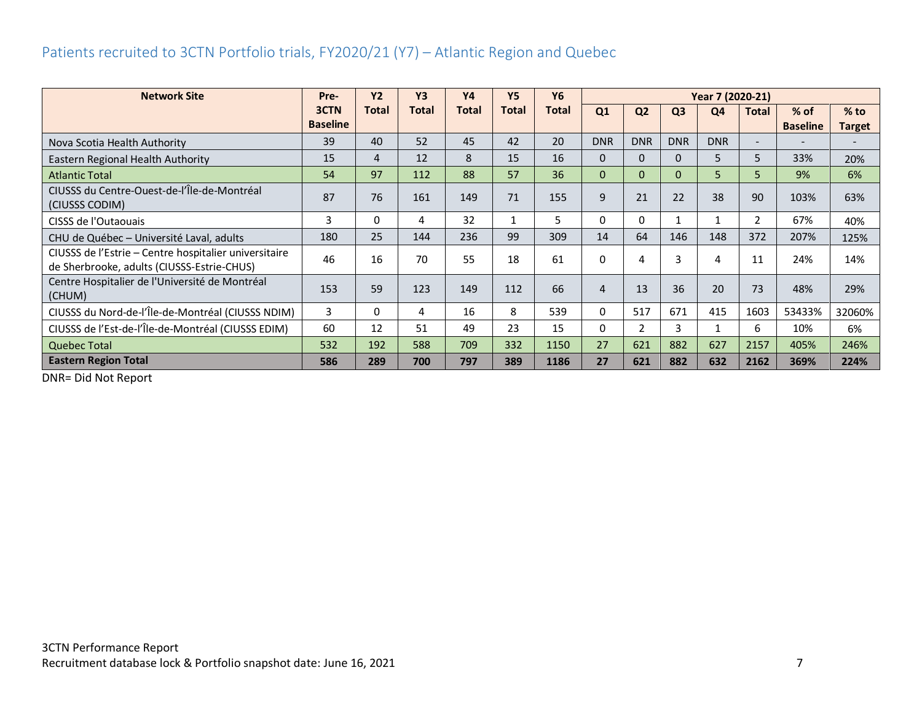## <span id="page-7-0"></span>Patients recruited to 3CTN Portfolio trials, FY2020/21 (Y7) – Atlantic Region and Quebec

| <b>Network Site</b>                                                                                 | Pre-            | <b>Y2</b>    | <b>Y3</b>    | <b>Y4</b>    | <b>Y5</b>    | <b>Y6</b>    | Year 7 (2020-21) |                |                |            |                          |                 |                          |
|-----------------------------------------------------------------------------------------------------|-----------------|--------------|--------------|--------------|--------------|--------------|------------------|----------------|----------------|------------|--------------------------|-----------------|--------------------------|
|                                                                                                     | 3CTN            | <b>Total</b> | <b>Total</b> | <b>Total</b> | <b>Total</b> | <b>Total</b> | Q1               | Q <sub>2</sub> | Q <sub>3</sub> | Q4         | <b>Total</b>             | $%$ of          | $%$ to                   |
|                                                                                                     | <b>Baseline</b> |              |              |              |              |              |                  |                |                |            |                          | <b>Baseline</b> | Target                   |
| Nova Scotia Health Authority                                                                        | 39              | 40           | 52           | 45           | 42           | 20           | <b>DNR</b>       | <b>DNR</b>     | <b>DNR</b>     | <b>DNR</b> | $\overline{\phantom{0}}$ | -               | $\overline{\phantom{a}}$ |
| Eastern Regional Health Authority                                                                   | 15              | 4            | 12           | 8            | 15           | 16           | $\mathbf{0}$     | 0              | $\Omega$       | 5          | 5.                       | 33%             | 20%                      |
| <b>Atlantic Total</b>                                                                               | 54              | 97           | 112          | 88           | 57           | 36           | $\mathbf{0}$     | $\Omega$       | $\mathbf{0}$   | 5          | 5.                       | 9%              | 6%                       |
| CIUSSS du Centre-Ouest-de-l'Île-de-Montréal<br>(CIUSSS CODIM)                                       | 87              | 76           | 161          | 149          | 71           | 155          | 9                | 21             | 22             | 38         | 90                       | 103%            | 63%                      |
| CISSS de l'Outaouais                                                                                | 3               | 0            | 4            | 32           |              | 5            | 0                | 0              |                | 1          | 2                        | 67%             | 40%                      |
| CHU de Québec - Université Laval, adults                                                            | 180             | 25           | 144          | 236          | 99           | 309          | 14               | 64             | 146            | 148        | 372                      | 207%            | 125%                     |
| CIUSSS de l'Estrie - Centre hospitalier universitaire<br>de Sherbrooke, adults (CIUSSS-Estrie-CHUS) | 46              | 16           | 70           | 55           | 18           | 61           | 0                | 4              |                | 4          | 11                       | 24%             | 14%                      |
| Centre Hospitalier de l'Université de Montréal<br>(CHUM)                                            | 153             | 59           | 123          | 149          | 112          | 66           | 4                | 13             | 36             | 20         | 73                       | 48%             | 29%                      |
| CIUSSS du Nord-de-l'Île-de-Montréal (CIUSSS NDIM)                                                   | 3               | 0            | 4            | 16           | 8            | 539          | 0                | 517            | 671            | 415        | 1603                     | 53433%          | 32060%                   |
| CIUSSS de l'Est-de-l'Île-de-Montréal (CIUSSS EDIM)                                                  | 60              | 12           | 51           | 49           | 23           | 15           | 0                | $\overline{2}$ | 3              | 1          | 6                        | 10%             | 6%                       |
| <b>Quebec Total</b>                                                                                 | 532             | 192          | 588          | 709          | 332          | 1150         | 27               | 621            | 882            | 627        | 2157                     | 405%            | 246%                     |
| <b>Eastern Region Total</b>                                                                         | 586             | 289          | 700          | 797          | 389          | 1186         | 27               | 621            | 882            | 632        | 2162                     | 369%            | 224%                     |

DNR= Did Not Report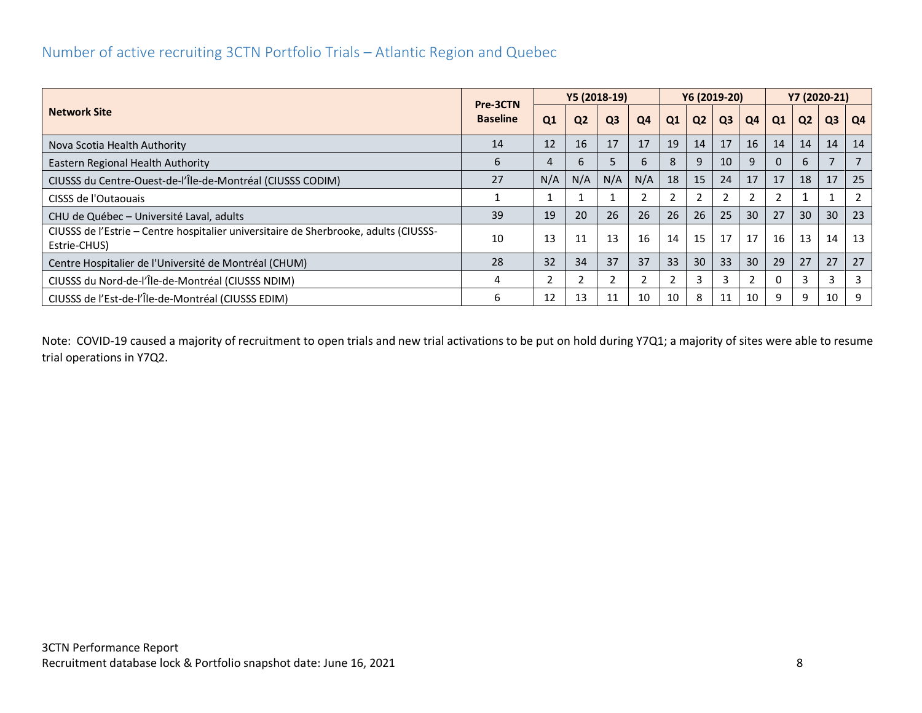## <span id="page-8-0"></span>Number of active recruiting 3CTN Portfolio Trials – Atlantic Region and Quebec

|                                                                                                      |                             | Y5 (2018-19) |                |                |                |    |                | Y6 (2019-20)   |    | Y7 (2020-21)   |                |                |    |
|------------------------------------------------------------------------------------------------------|-----------------------------|--------------|----------------|----------------|----------------|----|----------------|----------------|----|----------------|----------------|----------------|----|
| <b>Network Site</b>                                                                                  | Pre-3CTN<br><b>Baseline</b> | Q1           | Q <sub>2</sub> | Q <sub>3</sub> | Q4             | Q1 | Q <sub>2</sub> | Q <sub>3</sub> | Q4 | Q1             | Q <sub>2</sub> | Q <sub>3</sub> | Q4 |
| Nova Scotia Health Authority                                                                         | 14                          | 12           | 16             | 17             | 17             | 19 | 14             | 17             | 16 | 14             | 14             | 14             | 14 |
| Eastern Regional Health Authority                                                                    | 6                           |              | 6              |                | 6              | 8  | 9              | 10             | 9  | 0              | 6              |                |    |
| CIUSSS du Centre-Ouest-de-l'Île-de-Montréal (CIUSSS CODIM)                                           | 27                          | N/A          | N/A            | N/A            | N/A            | 18 | 15             | 24             | 17 | 17             | 18             | 17             | 25 |
| CISSS de l'Outaouais                                                                                 |                             |              |                |                | $\overline{2}$ |    |                |                |    | $\overline{2}$ |                |                |    |
| CHU de Québec - Université Laval, adults                                                             | 39                          | 19           | 20             | 26             | 26             | 26 | 26             | 25             | 30 | 27             | 30             | 30             | 23 |
| CIUSSS de l'Estrie - Centre hospitalier universitaire de Sherbrooke, adults (CIUSSS-<br>Estrie-CHUS) | 10                          | 13           | 11             | 13             | 16             | 14 | 15             | 17             | 17 | 16             | 13             | 14             | 13 |
| Centre Hospitalier de l'Université de Montréal (CHUM)                                                | 28                          | 32           | 34             | 37             | 37             | 33 | 30             | 33             | 30 | 29             | 27             | 27             | 27 |
| CIUSSS du Nord-de-l'Île-de-Montréal (CIUSSS NDIM)                                                    | 4                           |              |                |                | $\overline{2}$ |    | 3              | 3              |    | 0              | 3              | 3              | 3  |
| CIUSSS de l'Est-de-l'Île-de-Montréal (CIUSSS EDIM)                                                   | ь                           | 12           | 13             | 11             | 10             | 10 | 8              | 11             | 10 | 9              | 9              | 10             | 9  |

Note: COVID-19 caused a majority of recruitment to open trials and new trial activations to be put on hold during Y7Q1; a majority of sites were able to resume trial operations in Y7Q2.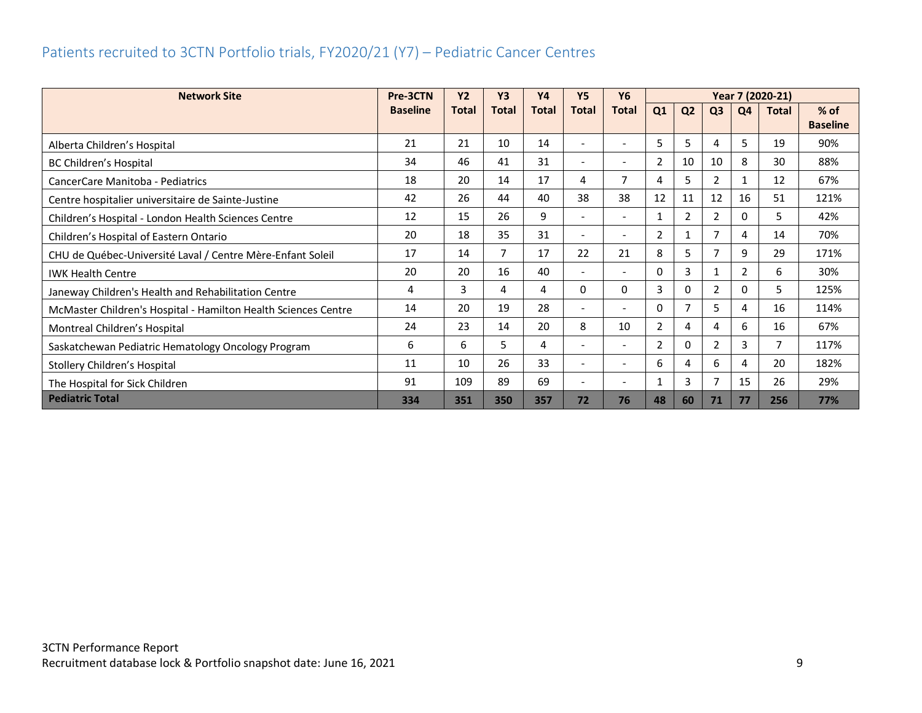## <span id="page-9-0"></span>Patients recruited to 3CTN Portfolio trials, FY2020/21 (Y7) – Pediatric Cancer Centres

| <b>Network Site</b>                                            | Pre-3CTN        | <b>Y2</b>    | <b>Y3</b>      | <b>Y4</b>    | <b>Y5</b>                | <b>Y6</b>                | Year 7 (2020-21) |                |                |                |              |                 |
|----------------------------------------------------------------|-----------------|--------------|----------------|--------------|--------------------------|--------------------------|------------------|----------------|----------------|----------------|--------------|-----------------|
|                                                                | <b>Baseline</b> | <b>Total</b> | <b>Total</b>   | <b>Total</b> | <b>Total</b>             | <b>Total</b>             | Q1               | Q <sub>2</sub> | Q <sub>3</sub> | Q <sub>4</sub> | <b>Total</b> | $%$ of          |
|                                                                |                 |              |                |              |                          |                          |                  |                |                |                |              | <b>Baseline</b> |
| Alberta Children's Hospital                                    | 21              | 21           | 10             | 14           |                          |                          | 5                | 5              | 4              | 5              | 19           | 90%             |
| BC Children's Hospital                                         | 34              | 46           | 41             | 31           | $\overline{\phantom{0}}$ | $\overline{\phantom{a}}$ | 2                | 10             | 10             | 8              | 30           | 88%             |
| CancerCare Manitoba - Pediatrics                               | 18              | 20           | 14             | 17           | 4                        | $\overline{7}$           | 4                | 5              | 2              | 1              | 12           | 67%             |
| Centre hospitalier universitaire de Sainte-Justine             | 42              | 26           | 44             | 40           | 38                       | 38                       | 12               | 11             | 12             | 16             | 51           | 121%            |
| Children's Hospital - London Health Sciences Centre            | 12              | 15           | 26             | 9            |                          | $\overline{\phantom{a}}$ | 1                | $\overline{2}$ | 2              | 0              | 5            | 42%             |
| Children's Hospital of Eastern Ontario                         | 20              | 18           | 35             | 31           | $\overline{\phantom{0}}$ | $\overline{\phantom{a}}$ | 2                |                | 7              | 4              | 14           | 70%             |
| CHU de Québec-Université Laval / Centre Mère-Enfant Soleil     | 17              | 14           | $\overline{7}$ | 17           | 22                       | 21                       | 8                | 5              | ℸ              | 9              | 29           | 171%            |
| <b>IWK Health Centre</b>                                       | 20              | 20           | 16             | 40           | $\overline{\phantom{a}}$ | $\overline{\phantom{a}}$ | 0                | 3              |                | 2              | 6            | 30%             |
| Janeway Children's Health and Rehabilitation Centre            | 4               | 3            | 4              | 4            | 0                        | $\Omega$                 | 3                | 0              | 2              | 0              | 5            | 125%            |
| McMaster Children's Hospital - Hamilton Health Sciences Centre | 14              | 20           | 19             | 28           | $\overline{\phantom{0}}$ | $\overline{\phantom{a}}$ | $\Omega$         | $\mathcal{I}$  | 5              | 4              | 16           | 114%            |
| Montreal Children's Hospital                                   | 24              | 23           | 14             | 20           | 8                        | 10                       | 2                | 4              | 4              | 6              | 16           | 67%             |
| Saskatchewan Pediatric Hematology Oncology Program             | 6               | 6            | 5              | 4            | $\overline{\phantom{a}}$ | $\overline{\phantom{a}}$ | 2                | $\Omega$       | 2              | 3              | 7            | 117%            |
| Stollery Children's Hospital                                   | 11              | 10           | 26             | 33           |                          | $\overline{\phantom{a}}$ | 6                | 4              | 6              | 4              | 20           | 182%            |
| The Hospital for Sick Children                                 | 91              | 109          | 89             | 69           | -                        | $\overline{\phantom{a}}$ | 1                | 3              | 7              | 15             | 26           | 29%             |
| <b>Pediatric Total</b>                                         | 334             | 351          | 350            | 357          | 72                       | 76                       | 48               | 60             | 71             | 77             | 256          | 77%             |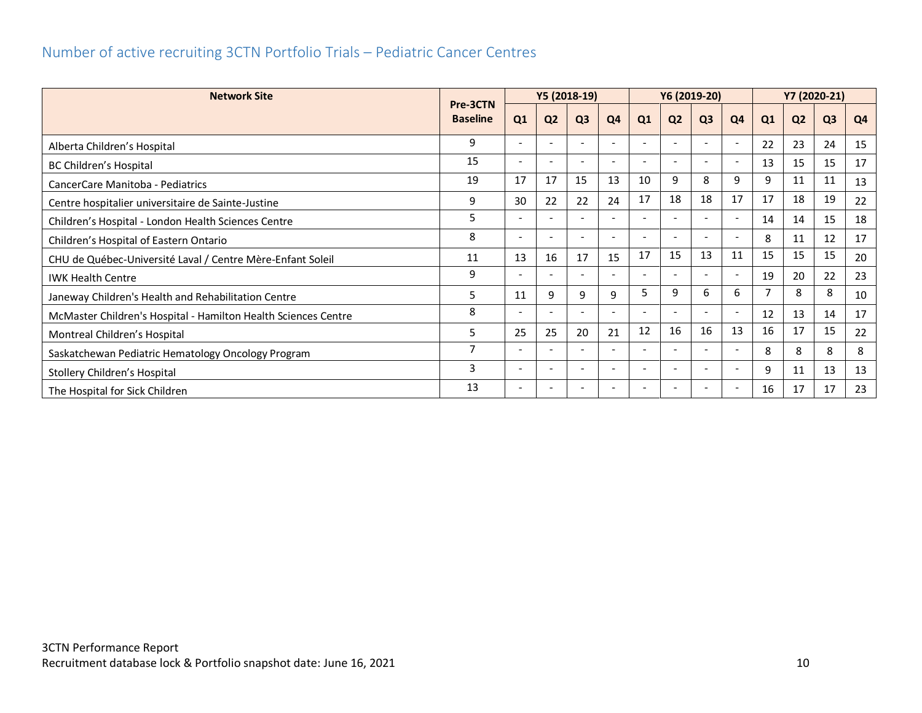## <span id="page-10-0"></span>Number of active recruiting 3CTN Portfolio Trials – Pediatric Cancer Centres

| <b>Network Site</b>                                            | Pre-3CTN        |                          |                          | Y5 (2018-19)             |                          |                          |                          | Y6 (2019-20)             |                          |    |                | Y7 (2020-21)   |                |
|----------------------------------------------------------------|-----------------|--------------------------|--------------------------|--------------------------|--------------------------|--------------------------|--------------------------|--------------------------|--------------------------|----|----------------|----------------|----------------|
|                                                                | <b>Baseline</b> | Q <sub>1</sub>           | Q <sub>2</sub>           | Q <sub>3</sub>           | Q4                       | Q1                       | Q <sub>2</sub>           | Q <sub>3</sub>           | Q4                       | Q1 | Q <sub>2</sub> | Q <sub>3</sub> | Q <sub>4</sub> |
| Alberta Children's Hospital                                    | 9               | $\overline{\phantom{a}}$ | $\overline{\phantom{a}}$ | $\overline{\phantom{0}}$ | $\overline{\phantom{a}}$ | $\overline{\phantom{a}}$ | $\overline{\phantom{a}}$ | $\overline{\phantom{0}}$ | $\overline{\phantom{a}}$ | 22 | 23             | 24             | 15             |
| BC Children's Hospital                                         | 15              |                          |                          |                          |                          |                          |                          |                          | $\overline{\phantom{a}}$ | 13 | 15             | 15             | 17             |
| CancerCare Manitoba - Pediatrics                               | 19              | 17                       | 17                       | 15                       | 13                       | 10                       | 9                        | 8                        | 9                        | 9  | 11             | 11             | 13             |
| Centre hospitalier universitaire de Sainte-Justine             | 9               | 30                       | 22                       | 22                       | 24                       | 17                       | 18                       | 18                       | 17                       | 17 | 18             | 19             | 22             |
| Children's Hospital - London Health Sciences Centre            | 5               |                          | $\overline{\phantom{0}}$ | $\overline{\phantom{a}}$ | $\overline{\phantom{a}}$ | $\overline{\phantom{a}}$ | $\overline{\phantom{a}}$ | $\overline{\phantom{0}}$ | $\overline{\phantom{a}}$ | 14 | 14             | 15             | 18             |
| Children's Hospital of Eastern Ontario                         | 8               |                          |                          |                          |                          |                          |                          |                          | $\overline{\phantom{a}}$ | 8  | 11             | 12             | 17             |
| CHU de Québec-Université Laval / Centre Mère-Enfant Soleil     | 11              | 13                       | 16                       | 17                       | 15                       | 17                       | 15                       | 13                       | 11                       | 15 | 15             | 15             | 20             |
| <b>IWK Health Centre</b>                                       | 9               |                          |                          |                          |                          |                          |                          |                          | $\overline{\phantom{a}}$ | 19 | 20             | 22             | 23             |
| Janeway Children's Health and Rehabilitation Centre            | 5               | 11                       | 9                        | 9                        | 9                        | 5                        | 9                        | 6                        | 6                        |    | 8              | 8              | 10             |
| McMaster Children's Hospital - Hamilton Health Sciences Centre | 8               |                          |                          |                          |                          |                          |                          |                          | $\overline{\phantom{a}}$ | 12 | 13             | 14             | 17             |
| Montreal Children's Hospital                                   | 5               | 25                       | 25                       | 20                       | 21                       | 12                       | 16                       | 16                       | 13                       | 16 | 17             | 15             | 22             |
| Saskatchewan Pediatric Hematology Oncology Program             | $\overline{7}$  |                          |                          |                          | $\overline{\phantom{a}}$ |                          |                          |                          | $\overline{\phantom{a}}$ | 8  | 8              | 8              | 8              |
| Stollery Children's Hospital                                   | 3               | $\overline{\phantom{a}}$ | $\overline{\phantom{a}}$ | $\overline{\phantom{0}}$ | $\overline{\phantom{a}}$ | $\overline{\phantom{a}}$ | $\overline{\phantom{a}}$ | $\overline{\phantom{a}}$ | $\overline{\phantom{a}}$ | 9  | 11             | 13             | 13             |
| The Hospital for Sick Children                                 | 13              |                          |                          |                          |                          |                          |                          |                          | $\overline{\phantom{a}}$ | 16 | 17             | 17             | 23             |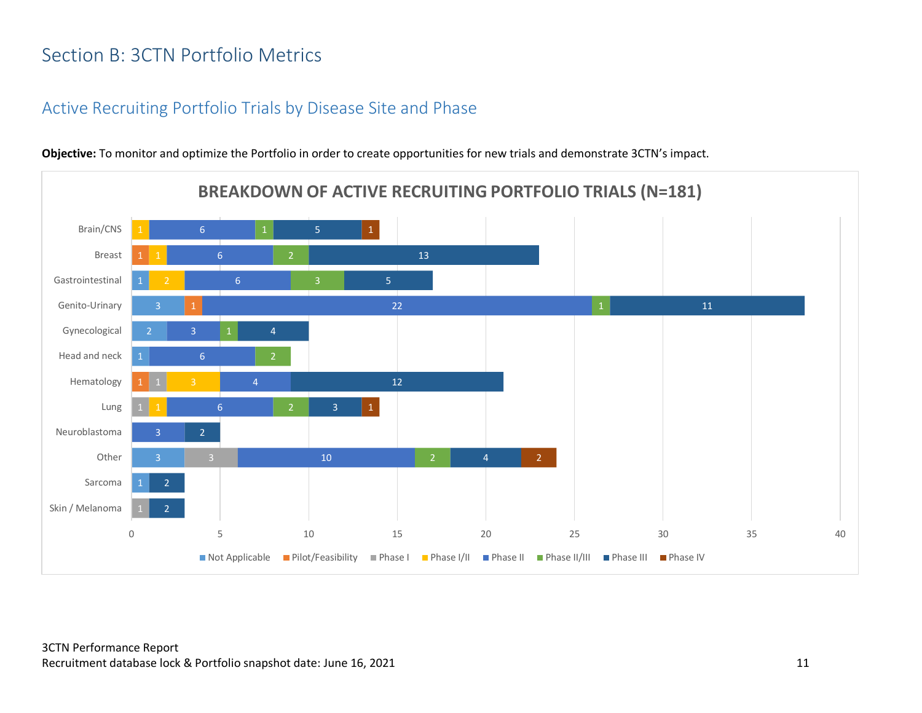# <span id="page-11-0"></span>Section B: 3CTN Portfolio Metrics

## <span id="page-11-1"></span>Active Recruiting Portfolio Trials by Disease Site and Phase

3 3 10 3 6 4 6 3 22 6 6 6 2 2 4 2 3 12 4 11 5 13 5 2 1 0 5 10 15 20 25 30 35 40 Skin / Melanoma Sarcoma Other Neuroblastoma Lung Hematology Head and neck Gynecological Genito-Urinary Gastrointestinal Breast Brain/CNS **BREAKDOWN OF ACTIVE RECRUITING PORTFOLIO TRIALS (N=181)**  $\blacksquare$  Not Applicable  $\blacksquare$  Pilot/Feasibility  $\blacksquare$  Phase I  $\blacksquare$  Phase II  $\blacksquare$  Phase III  $\blacksquare$  Phase III  $\blacksquare$  Phase IV

**Objective:** To monitor and optimize the Portfolio in order to create opportunities for new trials and demonstrate 3CTN's impact.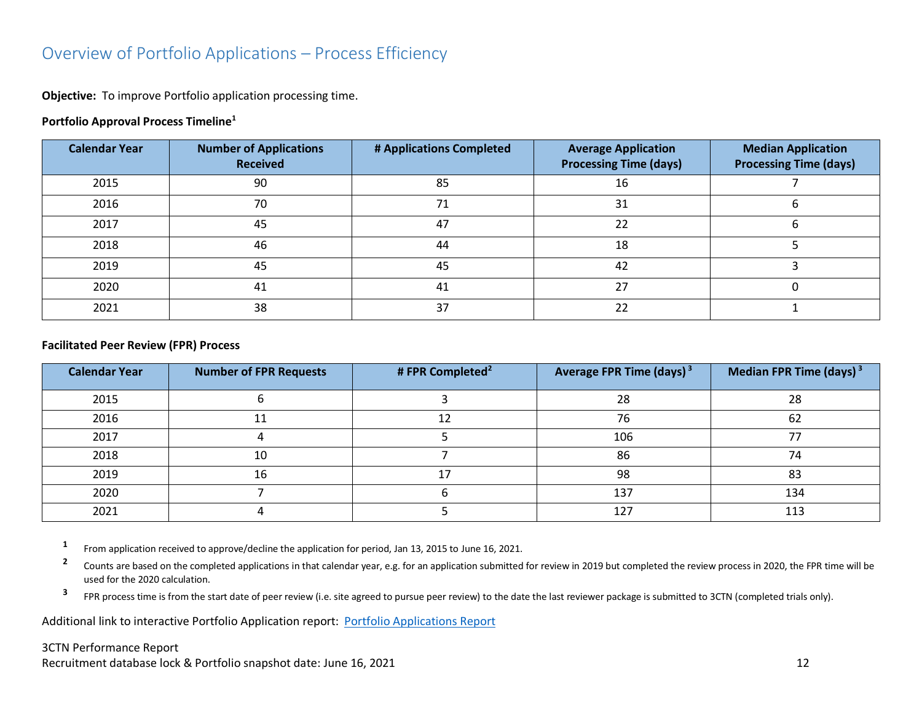## <span id="page-12-0"></span>Overview of Portfolio Applications – Process Efficiency

**Objective:** To improve Portfolio application processing time.

#### **Portfolio Approval Process Timeline<sup>1</sup>**

| <b>Calendar Year</b> | <b>Number of Applications</b><br><b>Received</b> | # Applications Completed | <b>Average Application</b><br><b>Processing Time (days)</b> | <b>Median Application</b><br><b>Processing Time (days)</b> |
|----------------------|--------------------------------------------------|--------------------------|-------------------------------------------------------------|------------------------------------------------------------|
| 2015                 | 90                                               | 85                       | 16                                                          |                                                            |
| 2016                 | 70                                               | 71                       | 31                                                          |                                                            |
| 2017                 | 45                                               | 47                       | 22                                                          |                                                            |
| 2018                 | 46                                               | 44                       | 18                                                          |                                                            |
| 2019                 | 45                                               | 45                       | 42                                                          |                                                            |
| 2020                 | 41                                               | 41                       | 27                                                          |                                                            |
| 2021                 | 38                                               | 37                       | 22                                                          |                                                            |

#### **Facilitated Peer Review (FPR) Process**

| <b>Calendar Year</b> | <b>Number of FPR Requests</b> | # FPR Completed <sup>2</sup> | <b>Average FPR Time (days) 3</b> | Median FPR Time (days) $3$ |
|----------------------|-------------------------------|------------------------------|----------------------------------|----------------------------|
| 2015                 |                               |                              | 28                               | 28                         |
| 2016                 |                               |                              | 76                               | 62                         |
| 2017                 |                               |                              | 106                              |                            |
| 2018                 | 10                            |                              | 86                               | 74                         |
| 2019                 | 16                            |                              | 98                               | 83                         |
| 2020                 |                               |                              | 137                              | 134                        |
| 2021                 |                               |                              | 127                              | 113                        |

**1** From application received to approve/decline the application for period, Jan 13, 2015 to June 16, 2021.

**2** Counts are based on the completed applications in that calendar year, e.g. for an application submitted for review in 2019 but completed the review process in 2020, the FPR time will be used for the 2020 calculation.

**3** FPR process time is from the start date of peer review (i.e. site agreed to pursue peer review) to the date the last reviewer package is submitted to 3CTN (completed trials only).

Additional link to interactive Portfolio Application report: [Portfolio Applications Report](https://app.powerbi.com/view?r=eyJrIjoiNDkxODMzYTctYjhkZi00MjhkLWJiNzMtMjcyYmU2MmE4MjM5IiwidCI6IjlkZjk0OWY4LWE2ZWItNDE5ZC05Y2FhLTFmOGM4M2RiNjc0ZiJ9)

#### 3CTN Performance Report Recruitment database lock & Portfolio snapshot date: June 16, 2021 12